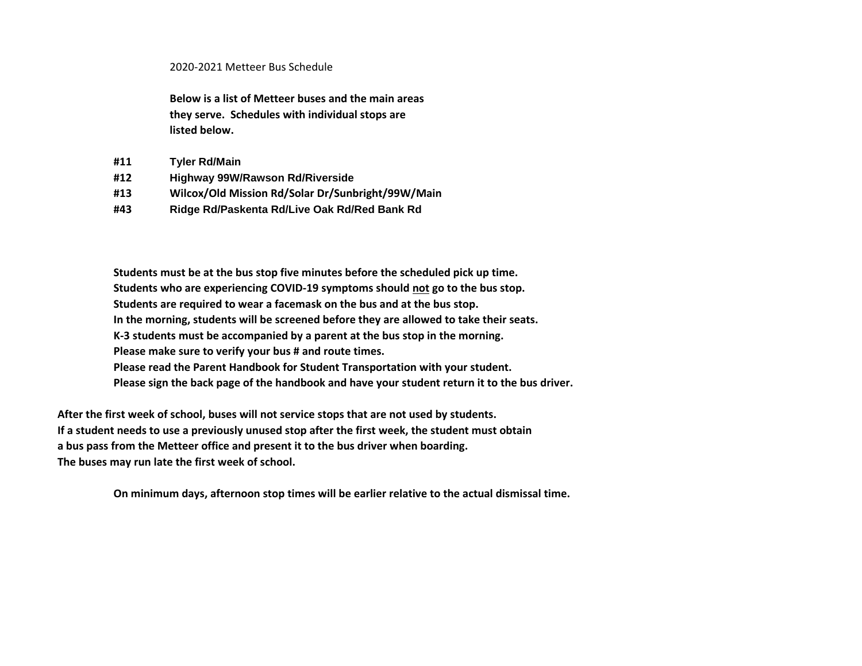## 2020-2021 Metteer Bus Schedule

**Below is a list of Metteer buses and the main areas they serve. Schedules with individual stops are listed below.**

- **#11 Tyler Rd/Main**
- **#12 Highway 99W/Rawson Rd/Riverside**
- **#13 Wilcox/Old Mission Rd/Solar Dr/Sunbright/99W/Main**
- **#43 Ridge Rd/Paskenta Rd/Live Oak Rd/Red Bank Rd**

**Students must be at the bus stop five minutes before the scheduled pick up time. Students who are experiencing COVID-19 symptoms should not go to the bus stop. Students are required to wear a facemask on the bus and at the bus stop. In the morning, students will be screened before they are allowed to take their seats. K-3 students must be accompanied by a parent at the bus stop in the morning. Please make sure to verify your bus # and route times. Please read the Parent Handbook for Student Transportation with your student. Please sign the back page of the handbook and have your student return it to the bus driver.**

**After the first week of school, buses will not service stops that are not used by students. If a student needs to use a previously unused stop after the first week, the student must obtain a bus pass from the Metteer office and present it to the bus driver when boarding. The buses may run late the first week of school.**

**On minimum days, afternoon stop times will be earlier relative to the actual dismissal time.**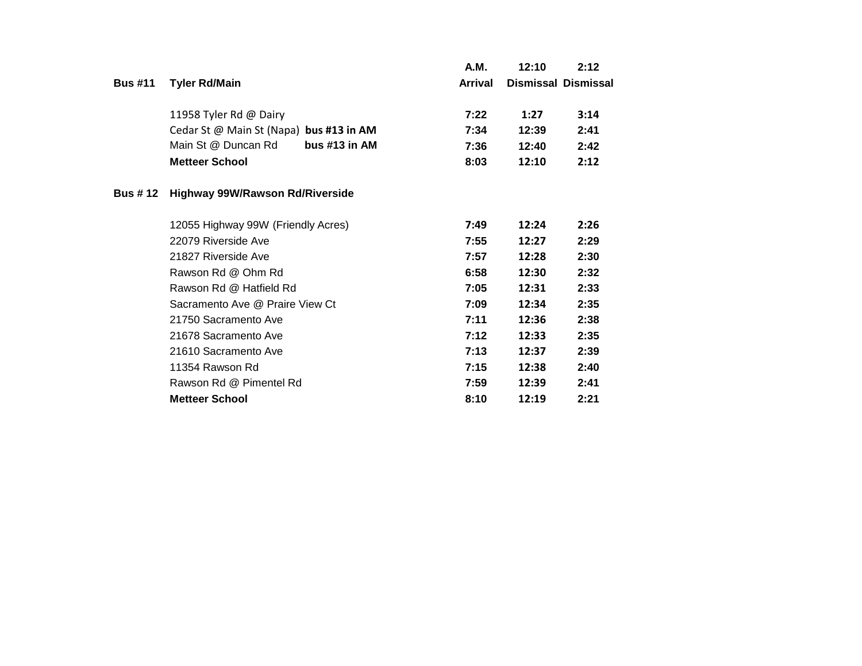|                |                                         | A.M.           | 12:10 | 2:12                       |
|----------------|-----------------------------------------|----------------|-------|----------------------------|
| <b>Bus #11</b> | <b>Tyler Rd/Main</b>                    | <b>Arrival</b> |       | <b>Dismissal Dismissal</b> |
|                | 11958 Tyler Rd @ Dairy                  | 7:22           | 1:27  | 3:14                       |
|                | Cedar St @ Main St (Napa) bus #13 in AM | 7:34           | 12:39 | 2:41                       |
|                | bus $#13$ in AM<br>Main St @ Duncan Rd  | 7:36           | 12:40 | 2:42                       |
|                | <b>Metteer School</b>                   | 8:03           | 12:10 | 2:12                       |
| <b>Bus #12</b> | <b>Highway 99W/Rawson Rd/Riverside</b>  |                |       |                            |
|                | 12055 Highway 99W (Friendly Acres)      | 7:49           | 12:24 | 2:26                       |
|                | 22079 Riverside Ave                     | 7:55           | 12:27 | 2:29                       |
|                | 21827 Riverside Ave                     | 7:57           | 12:28 | 2:30                       |
|                | Rawson Rd @ Ohm Rd                      | 6:58           | 12:30 | 2:32                       |
|                | Rawson Rd @ Hatfield Rd                 | 7:05           | 12:31 | 2:33                       |
|                | Sacramento Ave @ Praire View Ct         | 7:09           | 12:34 | 2:35                       |
|                | 21750 Sacramento Ave                    | 7:11           | 12:36 | 2:38                       |
|                | 21678 Sacramento Ave                    | 7:12           | 12:33 | 2:35                       |
|                | 21610 Sacramento Ave                    | 7:13           | 12:37 | 2:39                       |
|                | 11354 Rawson Rd                         | 7:15           | 12:38 | 2:40                       |
|                | Rawson Rd @ Pimentel Rd                 | 7:59           | 12:39 | 2:41                       |
|                | <b>Metteer School</b>                   | 8:10           | 12:19 | 2:21                       |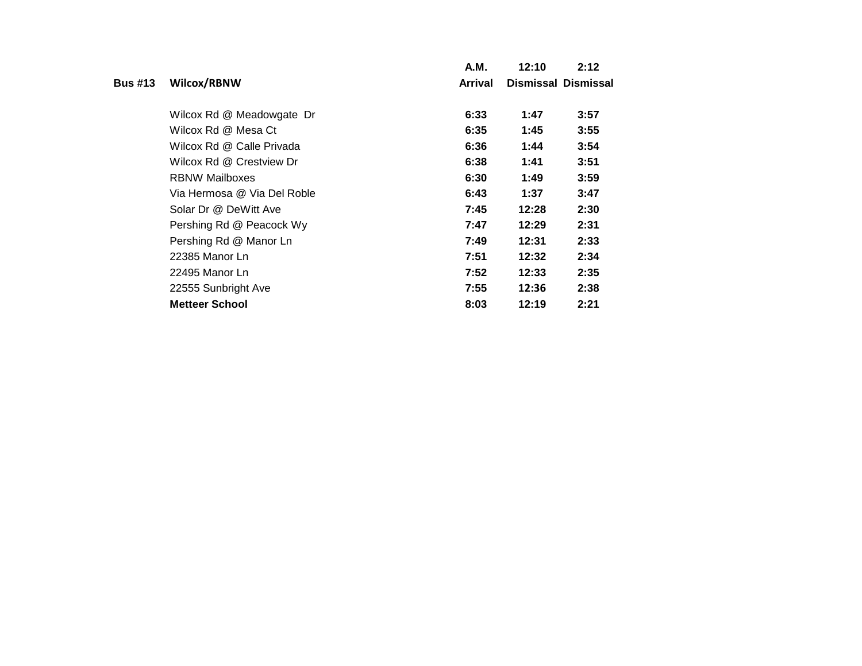|                |                             | A.M.           | 12:10 | 2:12                |
|----------------|-----------------------------|----------------|-------|---------------------|
| <b>Bus #13</b> | Wilcox/RBNW                 | <b>Arrival</b> |       | Dismissal Dismissal |
|                | Wilcox Rd @ Meadowgate Dr   | 6:33           | 1:47  | 3:57                |
|                | Wilcox Rd @ Mesa Ct         | 6:35           | 1:45  | 3:55                |
|                | Wilcox Rd @ Calle Privada   | 6:36           | 1:44  | 3:54                |
|                | Wilcox Rd @ Crestview Dr    | 6:38           | 1:41  | 3:51                |
|                | <b>RBNW Mailboxes</b>       | 6:30           | 1:49  | 3:59                |
|                | Via Hermosa @ Via Del Roble | 6:43           | 1:37  | 3:47                |
|                | Solar Dr @ DeWitt Ave       | 7:45           | 12:28 | 2:30                |
|                | Pershing Rd @ Peacock Wy    | 7:47           | 12:29 | 2:31                |
|                | Pershing Rd @ Manor Ln      | 7:49           | 12:31 | 2:33                |
|                | 22385 Manor Ln              | 7:51           | 12:32 | 2:34                |
|                | 22495 Manor Ln              | 7:52           | 12:33 | 2:35                |
|                | 22555 Sunbright Ave         | 7:55           | 12:36 | 2:38                |
|                | <b>Metteer School</b>       | 8:03           | 12:19 | 2:21                |